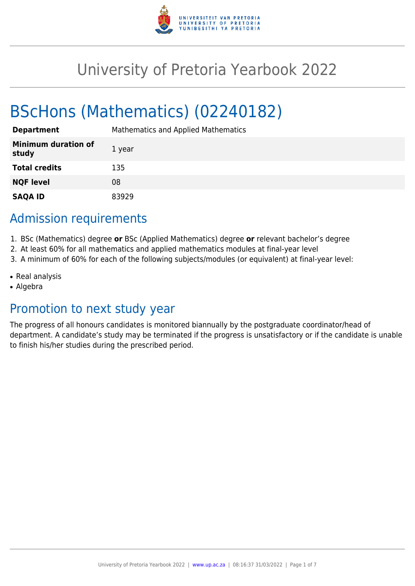

# University of Pretoria Yearbook 2022

# BScHons (Mathematics) (02240182)

| <b>Department</b>                   | Mathematics and Applied Mathematics |
|-------------------------------------|-------------------------------------|
| <b>Minimum duration of</b><br>study | 1 year                              |
| <b>Total credits</b>                | 135                                 |
| <b>NQF level</b>                    | 08                                  |
| <b>SAQA ID</b>                      | 83929                               |

# Admission requirements

- 1. BSc (Mathematics) degree **or** BSc (Applied Mathematics) degree **or** relevant bachelor's degree
- 2. At least 60% for all mathematics and applied mathematics modules at final-year level
- 3. A minimum of 60% for each of the following subjects/modules (or equivalent) at final-year level:
- Real analysis
- Algebra

# Promotion to next study year

The progress of all honours candidates is monitored biannually by the postgraduate coordinator/head of department. A candidate's study may be terminated if the progress is unsatisfactory or if the candidate is unable to finish his/her studies during the prescribed period.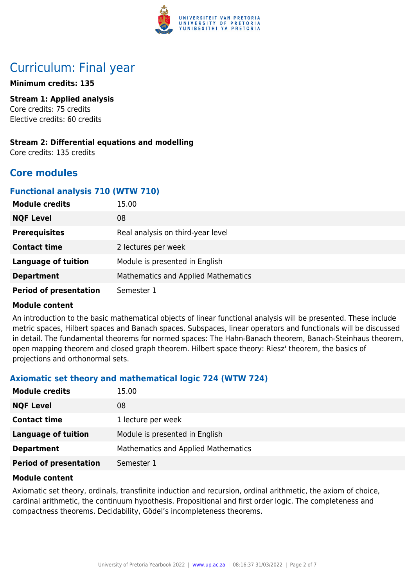

# Curriculum: Final year

#### **Minimum credits: 135**

**Stream 1: Applied analysis** Core credits: 75 credits Elective credits: 60 credits

# **Stream 2: Differential equations and modelling**

Core credits: 135 credits

# **Core modules**

## **Functional analysis 710 (WTW 710)**

| <b>Module credits</b>         | 15.00                                      |
|-------------------------------|--------------------------------------------|
| <b>NQF Level</b>              | 08                                         |
| <b>Prerequisites</b>          | Real analysis on third-year level          |
| <b>Contact time</b>           | 2 lectures per week                        |
| <b>Language of tuition</b>    | Module is presented in English             |
| <b>Department</b>             | <b>Mathematics and Applied Mathematics</b> |
| <b>Period of presentation</b> | Semester 1                                 |

#### **Module content**

An introduction to the basic mathematical objects of linear functional analysis will be presented. These include metric spaces, Hilbert spaces and Banach spaces. Subspaces, linear operators and functionals will be discussed in detail. The fundamental theorems for normed spaces: The Hahn-Banach theorem, Banach-Steinhaus theorem, open mapping theorem and closed graph theorem. Hilbert space theory: Riesz' theorem, the basics of projections and orthonormal sets.

# **Axiomatic set theory and mathematical logic 724 (WTW 724)**

| <b>Module credits</b>         | 15.00                                      |
|-------------------------------|--------------------------------------------|
| <b>NQF Level</b>              | 08                                         |
| <b>Contact time</b>           | 1 lecture per week                         |
| Language of tuition           | Module is presented in English             |
| <b>Department</b>             | <b>Mathematics and Applied Mathematics</b> |
| <b>Period of presentation</b> | Semester 1                                 |

#### **Module content**

Axiomatic set theory, ordinals, transfinite induction and recursion, ordinal arithmetic, the axiom of choice, cardinal arithmetic, the continuum hypothesis. Propositional and first order logic. The completeness and compactness theorems. Decidability, Gödel's incompleteness theorems.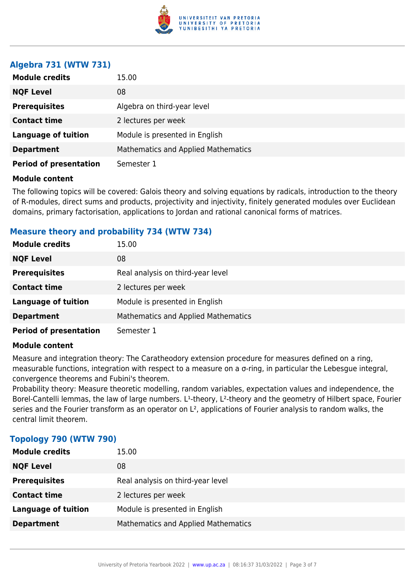

## **Algebra 731 (WTW 731)**

| <b>Module credits</b>         | 15.00                               |
|-------------------------------|-------------------------------------|
| <b>NQF Level</b>              | 08                                  |
| <b>Prerequisites</b>          | Algebra on third-year level         |
| <b>Contact time</b>           | 2 lectures per week                 |
| <b>Language of tuition</b>    | Module is presented in English      |
| <b>Department</b>             | Mathematics and Applied Mathematics |
| <b>Period of presentation</b> | Semester 1                          |

#### **Module content**

The following topics will be covered: Galois theory and solving equations by radicals, introduction to the theory of R-modules, direct sums and products, projectivity and injectivity, finitely generated modules over Euclidean domains, primary factorisation, applications to Jordan and rational canonical forms of matrices.

## **Measure theory and probability 734 (WTW 734)**

| <b>Module credits</b>         | 15.00                                      |
|-------------------------------|--------------------------------------------|
| <b>NQF Level</b>              | 08                                         |
| <b>Prerequisites</b>          | Real analysis on third-year level          |
| <b>Contact time</b>           | 2 lectures per week                        |
| <b>Language of tuition</b>    | Module is presented in English             |
| <b>Department</b>             | <b>Mathematics and Applied Mathematics</b> |
| <b>Period of presentation</b> | Semester 1                                 |

#### **Module content**

Measure and integration theory: The Caratheodory extension procedure for measures defined on a ring, measurable functions, integration with respect to a measure on a σ-ring, in particular the Lebesgue integral, convergence theorems and Fubini's theorem.

Probability theory: Measure theoretic modelling, random variables, expectation values and independence, the Borel-Cantelli lemmas, the law of large numbers. L<sup>1</sup>-theory, L<sup>2</sup>-theory and the geometry of Hilbert space, Fourier series and the Fourier transform as an operator on L<sup>2</sup>, applications of Fourier analysis to random walks, the central limit theorem.

| <b>Module credits</b>      | 15.00                               |
|----------------------------|-------------------------------------|
| <b>NQF Level</b>           | 08                                  |
| <b>Prerequisites</b>       | Real analysis on third-year level   |
| <b>Contact time</b>        | 2 lectures per week                 |
| <b>Language of tuition</b> | Module is presented in English      |
| <b>Department</b>          | Mathematics and Applied Mathematics |

#### **Topology 790 (WTW 790)**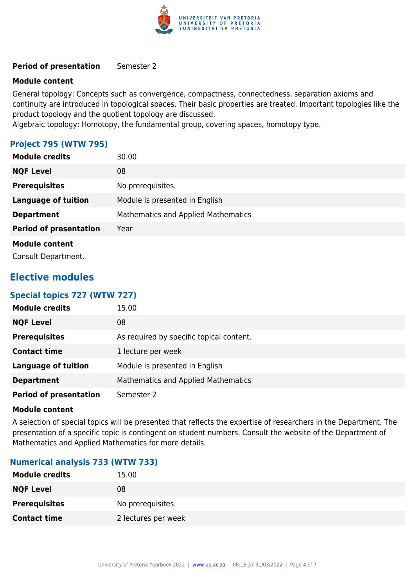

#### **Period of presentation** Semester 2

#### **Module content**

General topology: Concepts such as convergence, compactness, connectedness, separation axioms and continuity are introduced in topological spaces. Their basic properties are treated. Important topologies like the product topology and the quotient topology are discussed.

Algebraic topology: Homotopy, the fundamental group, covering spaces, homotopy type.

## **Project 795 (WTW 795)**

| <b>Module credits</b>         | 30.00                                      |
|-------------------------------|--------------------------------------------|
| <b>NQF Level</b>              | 08                                         |
| <b>Prerequisites</b>          | No prerequisites.                          |
| <b>Language of tuition</b>    | Module is presented in English             |
| <b>Department</b>             | <b>Mathematics and Applied Mathematics</b> |
| <b>Period of presentation</b> | Year                                       |
| <b>Module content</b>         |                                            |
| Consult Department.           |                                            |

# **Elective modules**

#### **Special topics 727 (WTW 727)**

| <b>Module credits</b>         | 15.00                                    |
|-------------------------------|------------------------------------------|
| <b>NQF Level</b>              | 08                                       |
| <b>Prerequisites</b>          | As required by specific topical content. |
| <b>Contact time</b>           | 1 lecture per week                       |
| <b>Language of tuition</b>    | Module is presented in English           |
| <b>Department</b>             | Mathematics and Applied Mathematics      |
| <b>Period of presentation</b> | Semester 2                               |

#### **Module content**

A selection of special topics will be presented that reflects the expertise of researchers in the Department. The presentation of a specific topic is contingent on student numbers. Consult the website of the Department of Mathematics and Applied Mathematics for more details.

#### **Numerical analysis 733 (WTW 733)**

| <b>Module credits</b> | 15.00               |
|-----------------------|---------------------|
| <b>NQF Level</b>      | 08                  |
| <b>Prerequisites</b>  | No prerequisites.   |
| <b>Contact time</b>   | 2 lectures per week |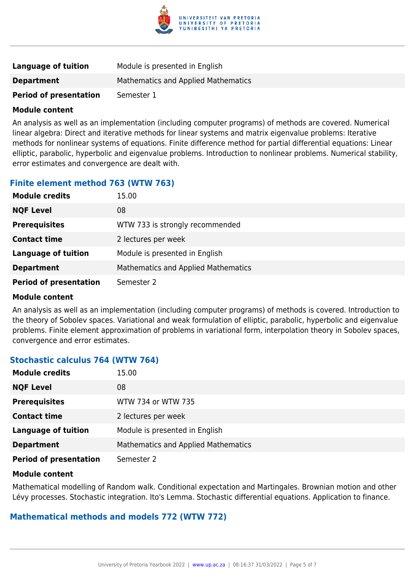

| <b>Language of tuition</b>    | Module is presented in English      |
|-------------------------------|-------------------------------------|
| <b>Department</b>             | Mathematics and Applied Mathematics |
| <b>Period of presentation</b> | Semester 1                          |

#### **Module content**

An analysis as well as an implementation (including computer programs) of methods are covered. Numerical linear algebra: Direct and iterative methods for linear systems and matrix eigenvalue problems: Iterative methods for nonlinear systems of equations. Finite difference method for partial differential equations: Linear elliptic, parabolic, hyperbolic and eigenvalue problems. Introduction to nonlinear problems. Numerical stability, error estimates and convergence are dealt with.

# **Finite element method 763 (WTW 763)**

| <b>Module credits</b>         | 15.00                               |
|-------------------------------|-------------------------------------|
| <b>NQF Level</b>              | 08                                  |
| <b>Prerequisites</b>          | WTW 733 is strongly recommended     |
| <b>Contact time</b>           | 2 lectures per week                 |
| <b>Language of tuition</b>    | Module is presented in English      |
| <b>Department</b>             | Mathematics and Applied Mathematics |
| <b>Period of presentation</b> | Semester 2                          |

#### **Module content**

An analysis as well as an implementation (including computer programs) of methods is covered. Introduction to the theory of Sobolev spaces. Variational and weak formulation of elliptic, parabolic, hyperbolic and eigenvalue problems. Finite element approximation of problems in variational form, interpolation theory in Sobolev spaces, convergence and error estimates.

#### **Stochastic calculus 764 (WTW 764)**

| <b>Module credits</b>         | 15.00                               |
|-------------------------------|-------------------------------------|
| <b>NQF Level</b>              | 08                                  |
| <b>Prerequisites</b>          | WTW 734 or WTW 735                  |
| <b>Contact time</b>           | 2 lectures per week                 |
| <b>Language of tuition</b>    | Module is presented in English      |
| <b>Department</b>             | Mathematics and Applied Mathematics |
| <b>Period of presentation</b> | Semester 2                          |

#### **Module content**

Mathematical modelling of Random walk. Conditional expectation and Martingales. Brownian motion and other Lévy processes. Stochastic integration. Ito's Lemma. Stochastic differential equations. Application to finance.

#### **Mathematical methods and models 772 (WTW 772)**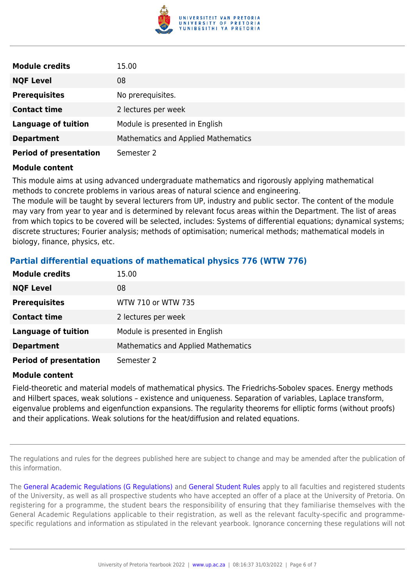

| <b>Module credits</b>         | 15.00                               |
|-------------------------------|-------------------------------------|
| <b>NQF Level</b>              | 08                                  |
| <b>Prerequisites</b>          | No prerequisites.                   |
| <b>Contact time</b>           | 2 lectures per week                 |
| <b>Language of tuition</b>    | Module is presented in English      |
| <b>Department</b>             | Mathematics and Applied Mathematics |
| <b>Period of presentation</b> | Semester 2                          |

#### **Module content**

This module aims at using advanced undergraduate mathematics and rigorously applying mathematical methods to concrete problems in various areas of natural science and engineering.

The module will be taught by several lecturers from UP, industry and public sector. The content of the module may vary from year to year and is determined by relevant focus areas within the Department. The list of areas from which topics to be covered will be selected, includes: Systems of differential equations; dynamical systems; discrete structures; Fourier analysis; methods of optimisation; numerical methods; mathematical models in biology, finance, physics, etc.

# **Partial differential equations of mathematical physics 776 (WTW 776)**

| <b>Module credits</b>         | 15.00                               |
|-------------------------------|-------------------------------------|
| <b>NQF Level</b>              | 08                                  |
| <b>Prerequisites</b>          | WTW 710 or WTW 735                  |
| <b>Contact time</b>           | 2 lectures per week                 |
| <b>Language of tuition</b>    | Module is presented in English      |
| <b>Department</b>             | Mathematics and Applied Mathematics |
| <b>Period of presentation</b> | Semester 2                          |

#### **Module content**

Field-theoretic and material models of mathematical physics. The Friedrichs-Sobolev spaces. Energy methods and Hilbert spaces, weak solutions – existence and uniqueness. Separation of variables, Laplace transform, eigenvalue problems and eigenfunction expansions. The regularity theorems for elliptic forms (without proofs) and their applications. Weak solutions for the heat/diffusion and related equations.

The regulations and rules for the degrees published here are subject to change and may be amended after the publication of this information.

The [General Academic Regulations \(G Regulations\)](https://www.up.ac.za/yearbooks/2022/rules/view/REG) and [General Student Rules](https://www.up.ac.za/yearbooks/2022/rules/view/RUL) apply to all faculties and registered students of the University, as well as all prospective students who have accepted an offer of a place at the University of Pretoria. On registering for a programme, the student bears the responsibility of ensuring that they familiarise themselves with the General Academic Regulations applicable to their registration, as well as the relevant faculty-specific and programmespecific regulations and information as stipulated in the relevant yearbook. Ignorance concerning these regulations will not